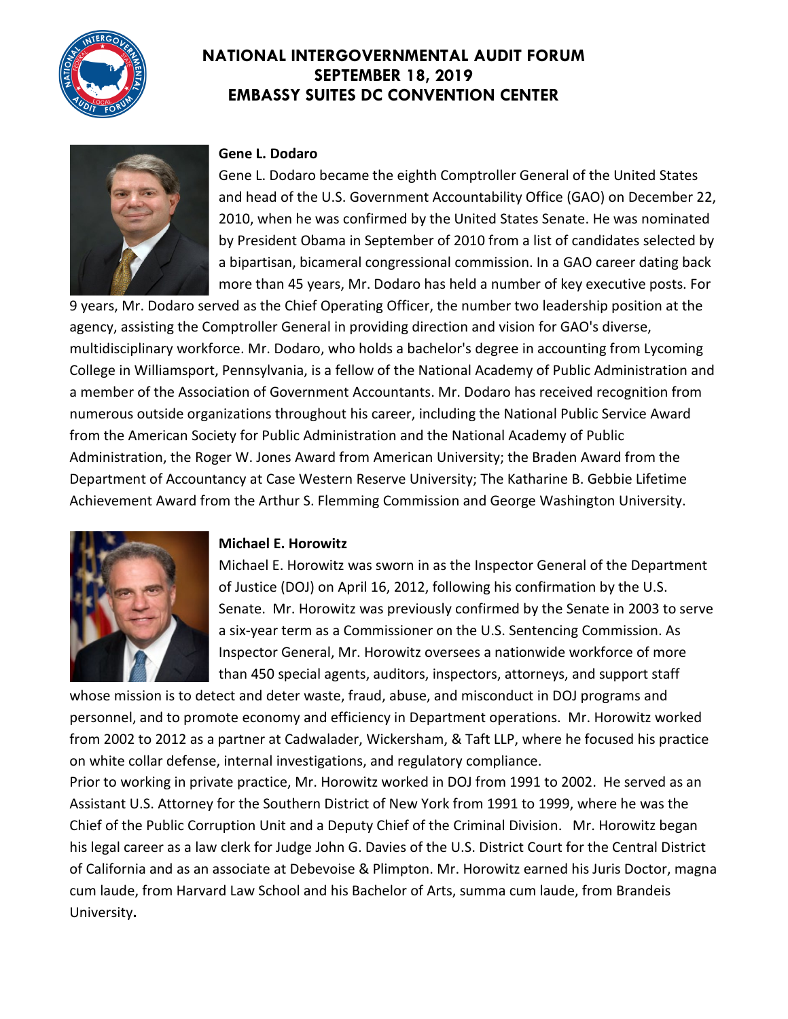



#### **Gene L. Dodaro**

Gene L. Dodaro became the eighth Comptroller General of the United States and head of the U.S. Government Accountability Office (GAO) on December 22, 2010, when he was confirmed by the United States Senate. He was nominated by President Obama in September of 2010 from a list of candidates selected by a bipartisan, bicameral congressional commission. In a GAO career dating back more than 45 years, Mr. Dodaro has held a number of key executive posts. For

9 years, Mr. Dodaro served as the Chief Operating Officer, the number two leadership position at the agency, assisting the Comptroller General in providing direction and vision for GAO's diverse, multidisciplinary workforce. Mr. Dodaro, who holds a bachelor's degree in accounting from Lycoming College in Williamsport, Pennsylvania, is a fellow of the National Academy of Public Administration and a member of the Association of Government Accountants. Mr. Dodaro has received recognition from numerous outside organizations throughout his career, including the National Public Service Award from the American Society for Public Administration and the National Academy of Public Administration, the Roger W. Jones Award from American University; the Braden Award from the Department of Accountancy at Case Western Reserve University; The Katharine B. Gebbie Lifetime Achievement Award from the Arthur S. Flemming Commission and George Washington University.



#### **Michael E. Horowitz**

Michael E. Horowitz was sworn in as the Inspector General of the Department of Justice (DOJ) on April 16, 2012, following his confirmation by the U.S. Senate. Mr. Horowitz was previously confirmed by the Senate in 2003 to serve a six-year term as a Commissioner on the U.S. Sentencing Commission. As Inspector General, Mr. Horowitz oversees a nationwide workforce of more than 450 special agents, auditors, inspectors, attorneys, and support staff

whose mission is to detect and deter waste, fraud, abuse, and misconduct in DOJ programs and personnel, and to promote economy and efficiency in Department operations. Mr. Horowitz worked from 2002 to 2012 as a partner at Cadwalader, Wickersham, & Taft LLP, where he focused his practice on white collar defense, internal investigations, and regulatory compliance.

Prior to working in private practice, Mr. Horowitz worked in DOJ from 1991 to 2002. He served as an Assistant U.S. Attorney for the Southern District of New York from 1991 to 1999, where he was the Chief of the Public Corruption Unit and a Deputy Chief of the Criminal Division. Mr. Horowitz began his legal career as a law clerk for Judge John G. Davies of the U.S. District Court for the Central District of California and as an associate at Debevoise & Plimpton. Mr. Horowitz earned his Juris Doctor, magna cum laude, from Harvard Law School and his Bachelor of Arts, summa cum laude, from Brandeis University**.**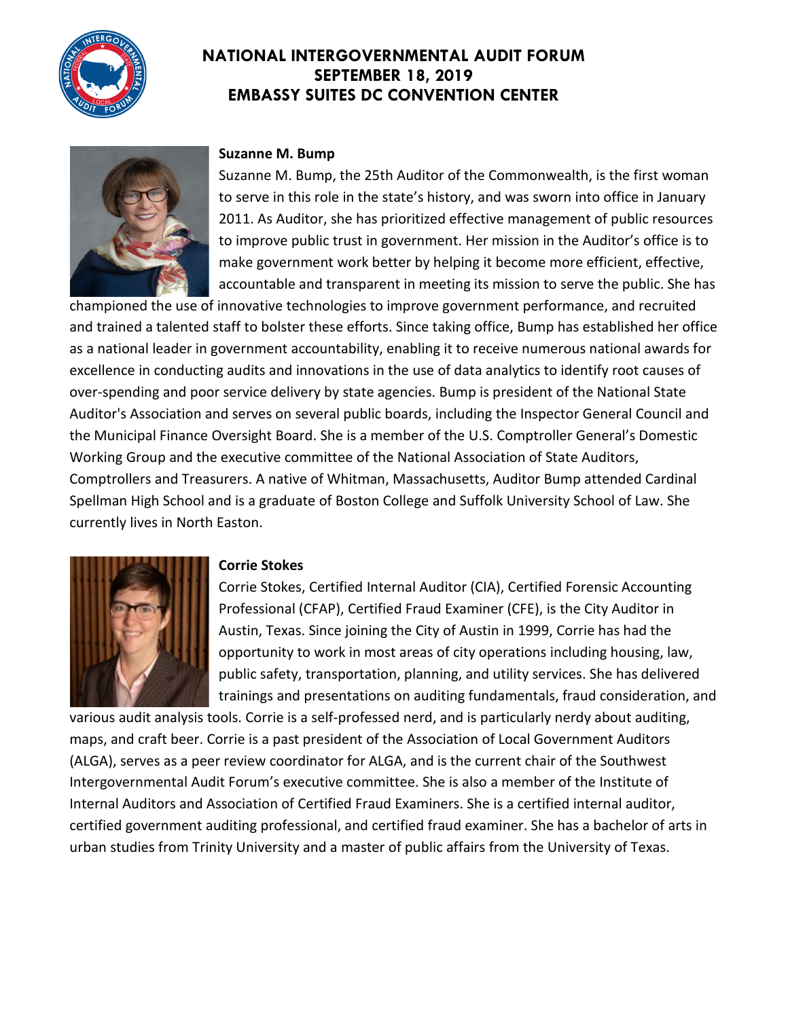



#### **Suzanne M. Bump**

Suzanne M. Bump, the 25th Auditor of the Commonwealth, is the first woman to serve in this role in the state's history, and was sworn into office in January 2011. As Auditor, she has prioritized effective management of public resources to improve public trust in government. Her mission in the Auditor's office is to make government work better by helping it become more efficient, effective, accountable and transparent in meeting its mission to serve the public. She has

championed the use of innovative technologies to improve government performance, and recruited and trained a talented staff to bolster these efforts. Since taking office, Bump has established her office as a national leader in government accountability, enabling it to receive numerous national awards for excellence in conducting audits and innovations in the use of data analytics to identify root causes of over-spending and poor service delivery by state agencies. Bump is president of the National State Auditor's Association and serves on several public boards, including the Inspector General Council and the Municipal Finance Oversight Board. She is a member of the U.S. Comptroller General's Domestic Working Group and the executive committee of the National Association of State Auditors, Comptrollers and Treasurers. A native of Whitman, Massachusetts, Auditor Bump attended Cardinal Spellman High School and is a graduate of Boston College and Suffolk University School of Law. She currently lives in North Easton.



#### **Corrie Stokes**

Corrie Stokes, Certified Internal Auditor (CIA), Certified Forensic Accounting Professional (CFAP), Certified Fraud Examiner (CFE), is the City Auditor in Austin, Texas. Since joining the City of Austin in 1999, Corrie has had the opportunity to work in most areas of city operations including housing, law, public safety, transportation, planning, and utility services. She has delivered trainings and presentations on auditing fundamentals, fraud consideration, and

various audit analysis tools. Corrie is a self-professed nerd, and is particularly nerdy about auditing, maps, and craft beer. Corrie is a past president of the Association of Local Government Auditors (ALGA), serves as a peer review coordinator for ALGA, and is the current chair of the Southwest Intergovernmental Audit Forum's executive committee. She is also a member of the Institute of Internal Auditors and Association of Certified Fraud Examiners. She is a certified internal auditor, certified government auditing professional, and certified fraud examiner. She has a bachelor of arts in urban studies from Trinity University and a master of public affairs from the University of Texas.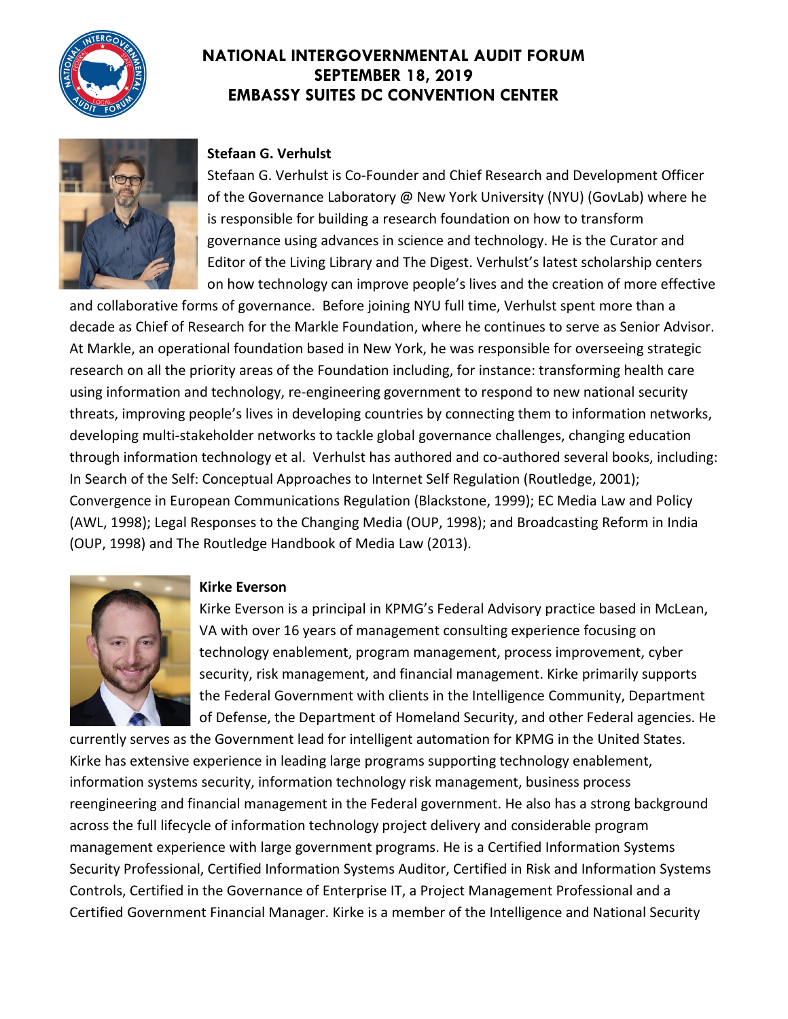



#### **Stefaan G. Verhulst**

Stefaan G. Verhulst is Co-Founder and Chief Research and Development Officer of the Governance Laboratory @ New York University (NYU) (GovLab) where he is responsible for building a research foundation on how to transform governance using advances in science and technology. He is the Curator and Editor of the Living Library and The Digest. Verhulst's latest scholarship centers on how technology can improve people's lives and the creation of more effective

and collaborative forms of governance. Before joining NYU full time, Verhulst spent more than a decade as Chief of Research for the Markle Foundation, where he continues to serve as Senior Advisor. At Markle, an operational foundation based in New York, he was responsible for overseeing strategic research on all the priority areas of the Foundation including, for instance: transforming health care using information and technology, re-engineering government to respond to new national security threats, improving people's lives in developing countries by connecting them to information networks, developing multi-stakeholder networks to tackle global governance challenges, changing education through information technology et al. Verhulst has authored and co-authored several books, including: In Search of the Self: Conceptual Approaches to Internet Self Regulation (Routledge, 2001); Convergence in European Communications Regulation (Blackstone, 1999); EC Media Law and Policy (AWL, 1998); Legal Responses to the Changing Media (OUP, 1998); and Broadcasting Reform in India (OUP, 1998) and The Routledge Handbook of Media Law (2013).



#### **Kirke Everson**

Kirke Everson is a principal in KPMG's Federal Advisory practice based in McLean, VA with over 16 years of management consulting experience focusing on technology enablement, program management, process improvement, cyber security, risk management, and financial management. Kirke primarily supports the Federal Government with clients in the Intelligence Community, Department of Defense, the Department of Homeland Security, and other Federal agencies. He

currently serves as the Government lead for intelligent automation for KPMG in the United States. Kirke has extensive experience in leading large programs supporting technology enablement, information systems security, information technology risk management, business process reengineering and financial management in the Federal government. He also has a strong background across the full lifecycle of information technology project delivery and considerable program management experience with large government programs. He is a Certified Information Systems Security Professional, Certified Information Systems Auditor, Certified in Risk and Information Systems Controls, Certified in the Governance of Enterprise IT, a Project Management Professional and a Certified Government Financial Manager. Kirke is a member of the Intelligence and National Security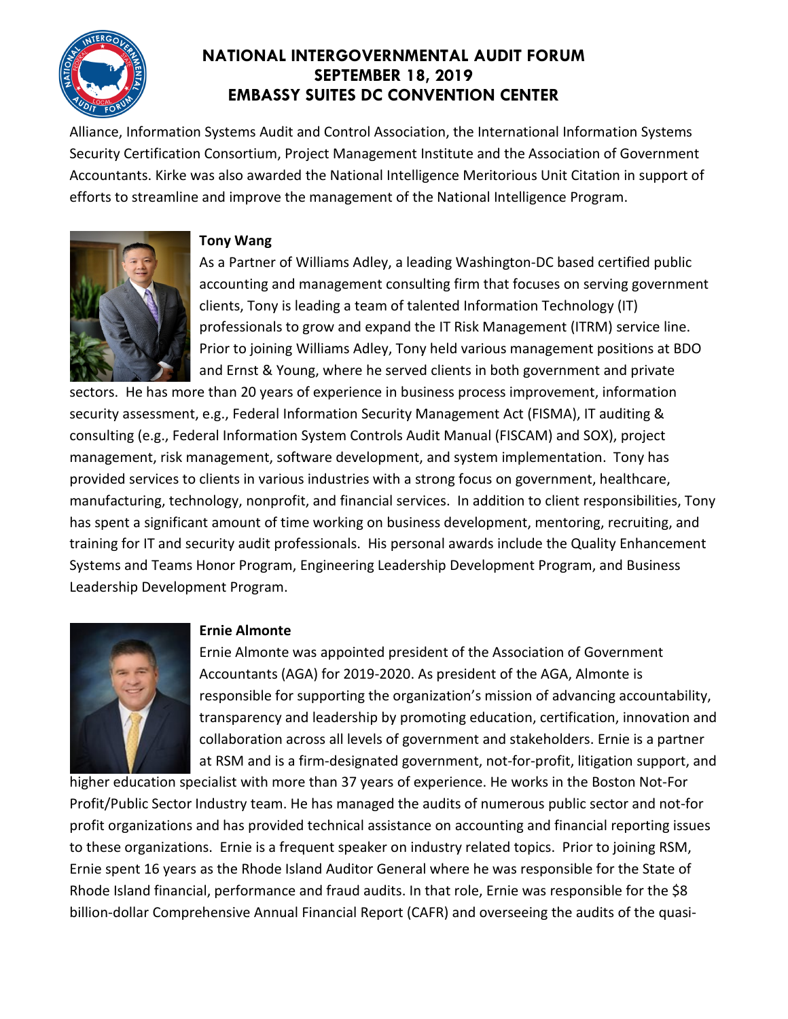

Alliance, Information Systems Audit and Control Association, the International Information Systems Security Certification Consortium, Project Management Institute and the Association of Government Accountants. Kirke was also awarded the National Intelligence Meritorious Unit Citation in support of efforts to streamline and improve the management of the National Intelligence Program.



#### **Tony Wang**

As a Partner of Williams Adley, a leading Washington-DC based certified public accounting and management consulting firm that focuses on serving government clients, Tony is leading a team of talented Information Technology (IT) professionals to grow and expand the IT Risk Management (ITRM) service line. Prior to joining Williams Adley, Tony held various management positions at BDO and Ernst & Young, where he served clients in both government and private

sectors. He has more than 20 years of experience in business process improvement, information security assessment, e.g., Federal Information Security Management Act (FISMA), IT auditing & consulting (e.g., Federal Information System Controls Audit Manual (FISCAM) and SOX), project management, risk management, software development, and system implementation. Tony has provided services to clients in various industries with a strong focus on government, healthcare, manufacturing, technology, nonprofit, and financial services. In addition to client responsibilities, Tony has spent a significant amount of time working on business development, mentoring, recruiting, and training for IT and security audit professionals. His personal awards include the Quality Enhancement Systems and Teams Honor Program, Engineering Leadership Development Program, and Business Leadership Development Program.



### **Ernie Almonte**

Ernie Almonte was appointed president of the Association of Government Accountants (AGA) for 2019-2020. As president of the AGA, Almonte is responsible for supporting the organization's mission of advancing accountability, transparency and leadership by promoting education, certification, innovation and collaboration across all levels of government and stakeholders. Ernie is a partner at RSM and is a firm-designated government, not-for-profit, litigation support, and

higher education specialist with more than 37 years of experience. He works in the Boston Not-For Profit/Public Sector Industry team. He has managed the audits of numerous public sector and not-for profit organizations and has provided technical assistance on accounting and financial reporting issues to these organizations. Ernie is a frequent speaker on industry related topics. Prior to joining RSM, Ernie spent 16 years as the Rhode Island Auditor General where he was responsible for the State of Rhode Island financial, performance and fraud audits. In that role, Ernie was responsible for the \$8 billion-dollar Comprehensive Annual Financial Report (CAFR) and overseeing the audits of the quasi-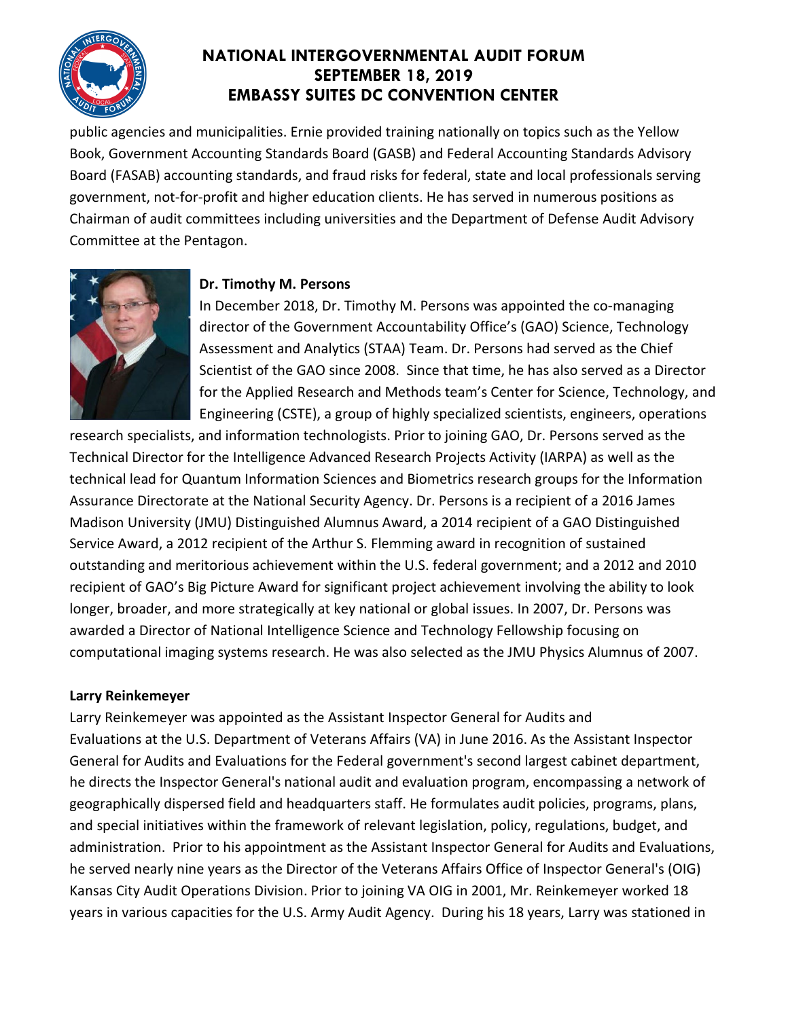

public agencies and municipalities. Ernie provided training nationally on topics such as the Yellow Book, Government Accounting Standards Board (GASB) and Federal Accounting Standards Advisory Board (FASAB) accounting standards, and fraud risks for federal, state and local professionals serving government, not-for-profit and higher education clients. He has served in numerous positions as Chairman of audit committees including universities and the Department of Defense Audit Advisory Committee at the Pentagon.



## **Dr. Timothy M. Persons**

In December 2018, Dr. Timothy M. Persons was appointed the co-managing director of the Government Accountability Office's (GAO) Science, Technology Assessment and Analytics (STAA) Team. Dr. Persons had served as the Chief Scientist of the GAO since 2008. Since that time, he has also served as a Director for the Applied Research and Methods team's Center for Science, Technology, and Engineering (CSTE), a group of highly specialized scientists, engineers, operations

research specialists, and information technologists. Prior to joining GAO, Dr. Persons served as the Technical Director for the Intelligence Advanced Research Projects Activity (IARPA) as well as the technical lead for Quantum Information Sciences and Biometrics research groups for the Information Assurance Directorate at the National Security Agency. Dr. Persons is a recipient of a 2016 James Madison University (JMU) Distinguished Alumnus Award, a 2014 recipient of a GAO Distinguished Service Award, a 2012 recipient of the Arthur S. Flemming award in recognition of sustained outstanding and meritorious achievement within the U.S. federal government; and a 2012 and 2010 recipient of GAO's Big Picture Award for significant project achievement involving the ability to look longer, broader, and more strategically at key national or global issues. In 2007, Dr. Persons was awarded a Director of National Intelligence Science and Technology Fellowship focusing on computational imaging systems research. He was also selected as the JMU Physics Alumnus of 2007.

## **Larry Reinkemeyer**

Larry Reinkemeyer was appointed as the Assistant Inspector General for Audits and Evaluations at the U.S. Department of Veterans Affairs (VA) in June 2016. As the Assistant Inspector General for Audits and Evaluations for the Federal government's second largest cabinet department, he directs the Inspector General's national audit and evaluation program, encompassing a network of geographically dispersed field and headquarters staff. He formulates audit policies, programs, plans, and special initiatives within the framework of relevant legislation, policy, regulations, budget, and administration. Prior to his appointment as the Assistant Inspector General for Audits and Evaluations, he served nearly nine years as the Director of the Veterans Affairs Office of Inspector General's (OIG) Kansas City Audit Operations Division. Prior to joining VA OIG in 2001, Mr. Reinkemeyer worked 18 years in various capacities for the U.S. Army Audit Agency. During his 18 years, Larry was stationed in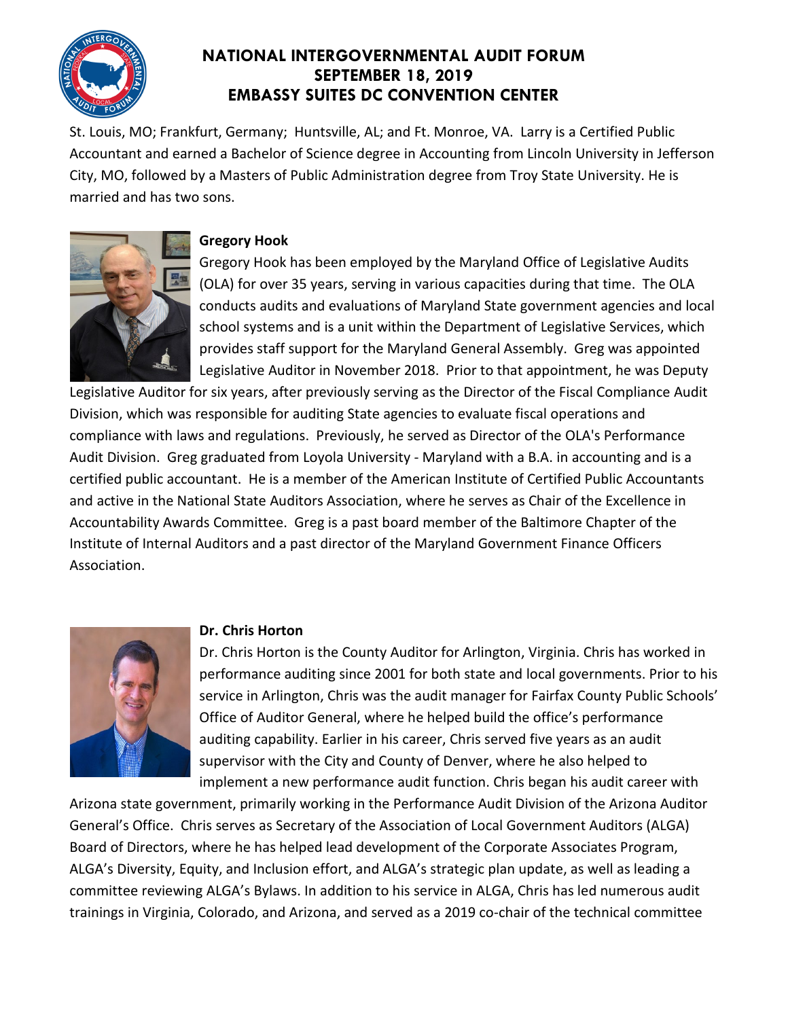

St. Louis, MO; Frankfurt, Germany; Huntsville, AL; and Ft. Monroe, VA. Larry is a Certified Public Accountant and earned a Bachelor of Science degree in Accounting from Lincoln University in Jefferson City, MO, followed by a Masters of Public Administration degree from Troy State University. He is married and has two sons.



### **Gregory Hook**

Gregory Hook has been employed by the Maryland Office of Legislative Audits (OLA) for over 35 years, serving in various capacities during that time. The OLA conducts audits and evaluations of Maryland State government agencies and local school systems and is a unit within the [Department of Legislative Services,](http://dls.state.md.us/) which provides staff support for the [Maryland General Assembly.](http://mgaleg.maryland.gov/webmga/) Greg was appointed Legislative Auditor in November 2018. Prior to that appointment, he was Deputy

Legislative Auditor for six years, after previously serving as the Director of the Fiscal Compliance Audit Division, which was responsible for auditing State agencies to evaluate fiscal operations and compliance with laws and regulations. Previously, he served as Director of the OLA's Performance Audit Division. Greg graduated from Loyola University - Maryland with a B.A. in accounting and is a certified public accountant. He is a member of the American Institute of Certified Public Accountants and active in the National State Auditors Association, where he serves as Chair of the Excellence in Accountability Awards Committee. Greg is a past board member of the Baltimore Chapter of the Institute of Internal Auditors and a past director of the Maryland Government Finance Officers Association.



### **Dr. Chris Horton**

Dr. Chris Horton is the County Auditor for Arlington, Virginia. Chris has worked in performance auditing since 2001 for both state and local governments. Prior to his service in Arlington, Chris was the audit manager for Fairfax County Public Schools' Office of Auditor General, where he helped build the office's performance auditing capability. Earlier in his career, Chris served five years as an audit supervisor with the City and County of Denver, where he also helped to implement a new performance audit function. Chris began his audit career with

Arizona state government, primarily working in the Performance Audit Division of the Arizona Auditor General's Office. Chris serves as Secretary of the Association of Local Government Auditors (ALGA) Board of Directors, where he has helped lead development of the Corporate Associates Program, ALGA's Diversity, Equity, and Inclusion effort, and ALGA's strategic plan update, as well as leading a committee reviewing ALGA's Bylaws. In addition to his service in ALGA, Chris has led numerous audit trainings in Virginia, Colorado, and Arizona, and served as a 2019 co-chair of the technical committee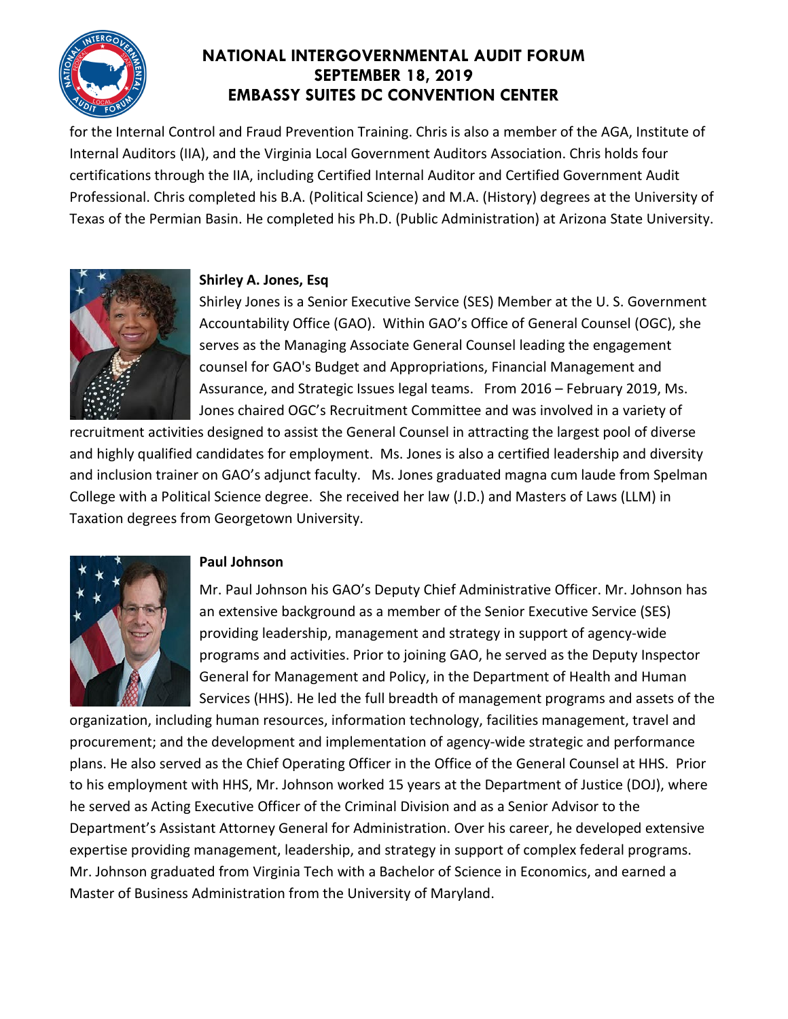

for the Internal Control and Fraud Prevention Training. Chris is also a member of the AGA, Institute of Internal Auditors (IIA), and the Virginia Local Government Auditors Association. Chris holds four certifications through the IIA, including Certified Internal Auditor and Certified Government Audit Professional. Chris completed his B.A. (Political Science) and M.A. (History) degrees at the University of Texas of the Permian Basin. He completed his Ph.D. (Public Administration) at Arizona State University.



### **Shirley A. Jones, Esq**

Shirley Jones is a Senior Executive Service (SES) Member at the U. S. Government Accountability Office (GAO). Within GAO's Office of General Counsel (OGC), she serves as the Managing Associate General Counsel leading the engagement counsel for GAO's Budget and Appropriations, Financial Management and Assurance, and Strategic Issues legal teams. From 2016 – February 2019, Ms. Jones chaired OGC's Recruitment Committee and was involved in a variety of

recruitment activities designed to assist the General Counsel in attracting the largest pool of diverse and highly qualified candidates for employment. Ms. Jones is also a certified leadership and diversity and inclusion trainer on GAO's adjunct faculty. Ms. Jones graduated magna cum laude from Spelman College with a Political Science degree. She received her law (J.D.) and Masters of Laws (LLM) in Taxation degrees from Georgetown University.



### **Paul Johnson**

Mr. Paul Johnson his GAO's Deputy Chief Administrative Officer. Mr. Johnson has an extensive background as a member of the Senior Executive Service (SES) providing leadership, management and strategy in support of agency-wide programs and activities. Prior to joining GAO, he served as the Deputy Inspector General for Management and Policy, in the Department of Health and Human Services (HHS). He led the full breadth of management programs and assets of the

organization, including human resources, information technology, facilities management, travel and procurement; and the development and implementation of agency-wide strategic and performance plans. He also served as the Chief Operating Officer in the Office of the General Counsel at HHS. Prior to his employment with HHS, Mr. Johnson worked 15 years at the Department of Justice (DOJ), where he served as Acting Executive Officer of the Criminal Division and as a Senior Advisor to the Department's Assistant Attorney General for Administration. Over his career, he developed extensive expertise providing management, leadership, and strategy in support of complex federal programs. Mr. Johnson graduated from Virginia Tech with a Bachelor of Science in Economics, and earned a Master of Business Administration from the University of Maryland.